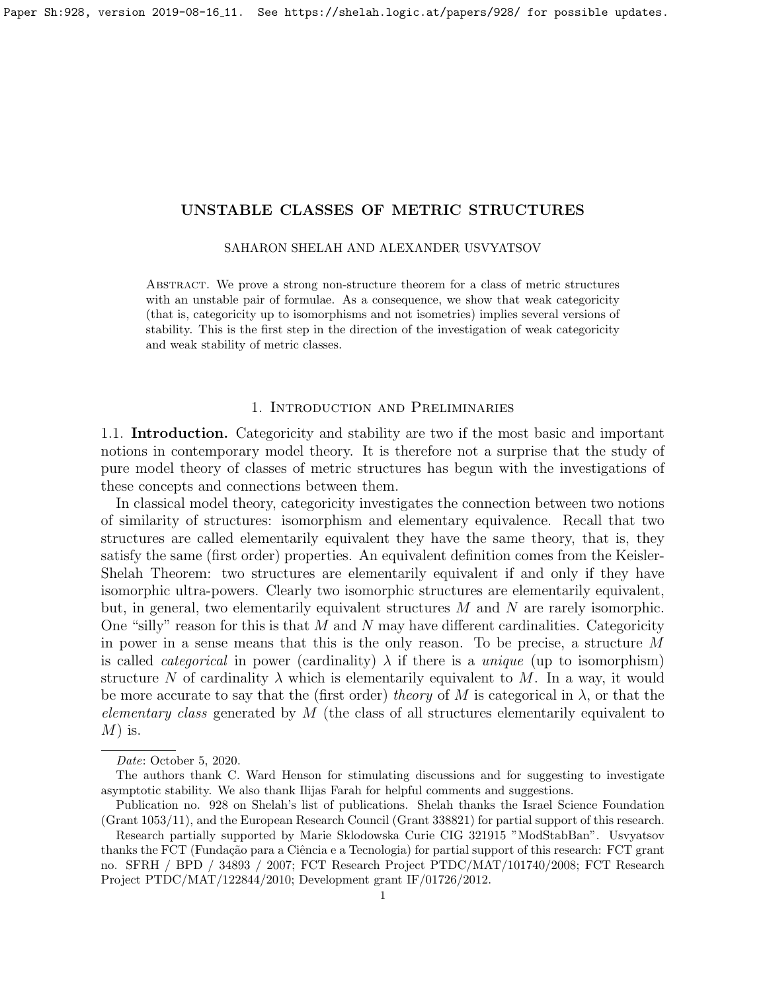SAHARON SHELAH AND ALEXANDER USVYATSOV

<span id="page-0-0"></span>Abstract. We prove a strong non-structure theorem for a class of metric structures with an unstable pair of formulae. As a consequence, we show that weak categoricity (that is, categoricity up to isomorphisms and not isometries) implies several versions of stability. This is the first step in the direction of the investigation of weak categoricity and weak stability of metric classes.

# 1. Introduction and Preliminaries

1.1. Introduction. Categoricity and stability are two if the most basic and important notions in contemporary model theory. It is therefore not a surprise that the study of pure model theory of classes of metric structures has begun with the investigations of these concepts and connections between them.

In classical model theory, categoricity investigates the connection between two notions of similarity of structures: isomorphism and elementary equivalence. Recall that two structures are called elementarily equivalent they have the same theory, that is, they satisfy the same (first order) properties. An equivalent definition comes from the Keisler-Shelah Theorem: two structures are elementarily equivalent if and only if they have isomorphic ultra-powers. Clearly two isomorphic structures are elementarily equivalent, but, in general, two elementarily equivalent structures  $M$  and  $N$  are rarely isomorphic. One "silly" reason for this is that  $M$  and  $N$  may have different cardinalities. Categoricity in power in a sense means that this is the only reason. To be precise, a structure M is called *categorical* in power (cardinality)  $\lambda$  if there is a *unique* (up to isomorphism) structure N of cardinality  $\lambda$  which is elementarily equivalent to M. In a way, it would be more accurate to say that the (first order) theory of M is categorical in  $\lambda$ , or that the *elementary class* generated by  $M$  (the class of all structures elementarily equivalent to  $M$ ) is.

Date: October 5, 2020.

The authors thank C. Ward Henson for stimulating discussions and for suggesting to investigate asymptotic stability. We also thank Ilijas Farah for helpful comments and suggestions.

Publication no. 928 on Shelah's list of publications. Shelah thanks the Israel Science Foundation (Grant 1053/11), and the European Research Council (Grant 338821) for partial support of this research.

Research partially supported by Marie Sklodowska Curie CIG 321915 "ModStabBan". Usvyatsov thanks the FCT (Fundação para a Ciência e a Tecnologia) for partial support of this research: FCT grant no. SFRH / BPD / 34893 / 2007; FCT Research Project PTDC/MAT/101740/2008; FCT Research Project PTDC/MAT/122844/2010; Development grant IF/01726/2012.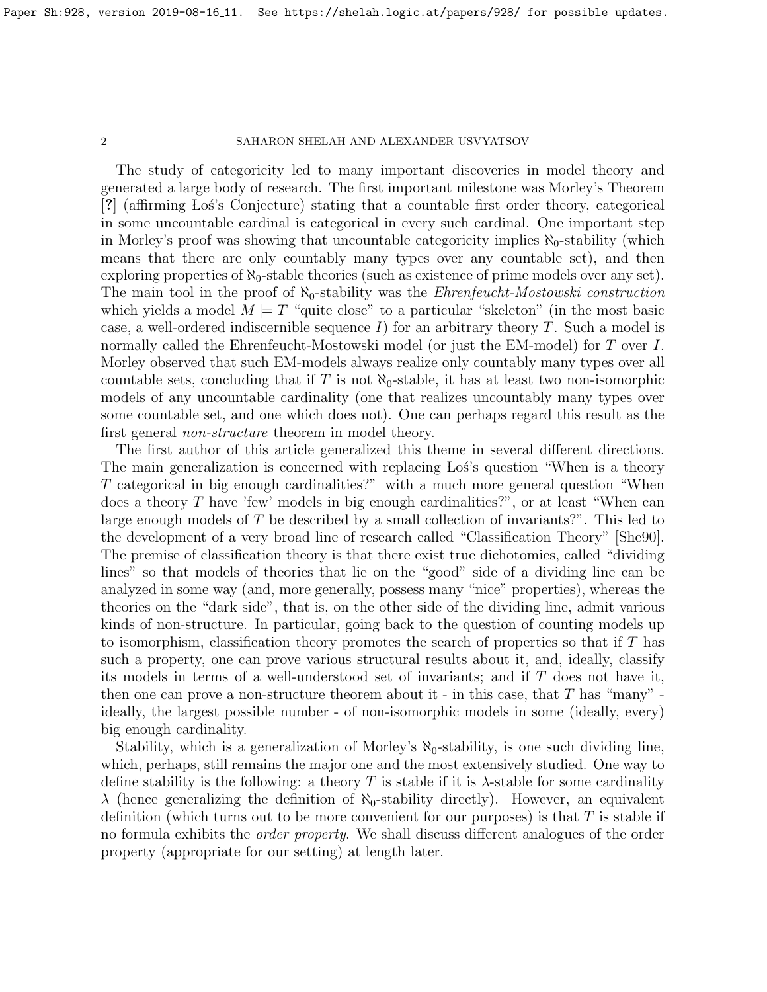The study of categoricity led to many important discoveries in model theory and generated a large body of research. The first important milestone was Morley's Theorem [?] (affirming Lo´s's Conjecture) stating that a countable first order theory, categorical in some uncountable cardinal is categorical in every such cardinal. One important step in Morley's proof was showing that uncountable categoricity implies  $\aleph_0$ -stability (which means that there are only countably many types over any countable set), and then exploring properties of  $\aleph_0$ -stable theories (such as existence of prime models over any set). The main tool in the proof of  $\aleph_0$ -stability was the *Ehrenfeucht-Mostowski construction* which yields a model  $M \models T$  "quite close" to a particular "skeleton" (in the most basic case, a well-ordered indiscernible sequence  $I$ ) for an arbitrary theory  $T$ . Such a model is normally called the Ehrenfeucht-Mostowski model (or just the EM-model) for T over I. Morley observed that such EM-models always realize only countably many types over all countable sets, concluding that if T is not  $\aleph_0$ -stable, it has at least two non-isomorphic models of any uncountable cardinality (one that realizes uncountably many types over some countable set, and one which does not). One can perhaps regard this result as the first general *non-structure* theorem in model theory.

The first author of this article generalized this theme in several different directions. The main generalization is concerned with replacing Los's question "When is a theory T categorical in big enough cardinalities?" with a much more general question "When does a theory  $T$  have 'few' models in big enough cardinalities?", or at least "When can large enough models of  $T$  be described by a small collection of invariants?". This led to the development of a very broad line of research called "Classification Theory" [\[She90\]](#page-16-0). The premise of classification theory is that there exist true dichotomies, called "dividing lines" so that models of theories that lie on the "good" side of a dividing line can be analyzed in some way (and, more generally, possess many "nice" properties), whereas the theories on the "dark side", that is, on the other side of the dividing line, admit various kinds of non-structure. In particular, going back to the question of counting models up to isomorphism, classification theory promotes the search of properties so that if  $T$  has such a property, one can prove various structural results about it, and, ideally, classify its models in terms of a well-understood set of invariants; and if T does not have it, then one can prove a non-structure theorem about it - in this case, that  $T$  has "many" ideally, the largest possible number - of non-isomorphic models in some (ideally, every) big enough cardinality.

Stability, which is a generalization of Morley's  $\aleph_0$ -stability, is one such dividing line, which, perhaps, still remains the major one and the most extensively studied. One way to define stability is the following: a theory T is stable if it is  $\lambda$ -stable for some cardinality  $\lambda$  (hence generalizing the definition of  $\aleph_0$ -stability directly). However, an equivalent definition (which turns out to be more convenient for our purposes) is that  $T$  is stable if no formula exhibits the order property. We shall discuss different analogues of the order property (appropriate for our setting) at length later.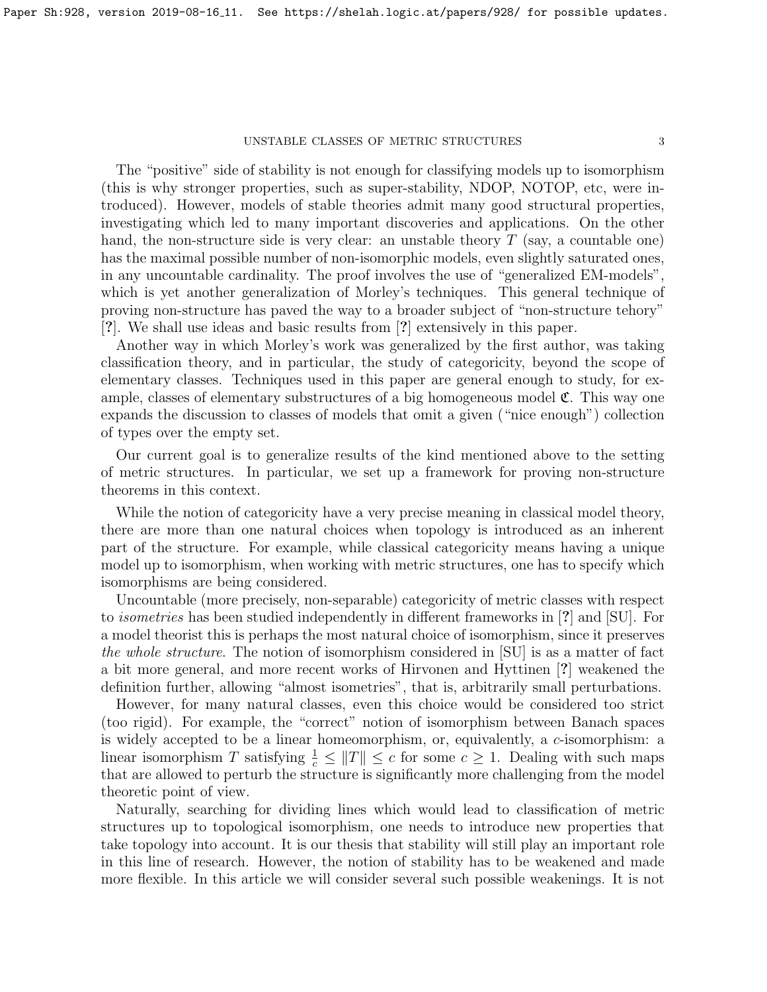The "positive" side of stability is not enough for classifying models up to isomorphism (this is why stronger properties, such as super-stability, NDOP, NOTOP, etc, were introduced). However, models of stable theories admit many good structural properties, investigating which led to many important discoveries and applications. On the other hand, the non-structure side is very clear: an unstable theory  $T$  (say, a countable one) has the maximal possible number of non-isomorphic models, even slightly saturated ones, in any uncountable cardinality. The proof involves the use of "generalized EM-models", which is yet another generalization of Morley's techniques. This general technique of proving non-structure has paved the way to a broader subject of "non-structure tehory" [?]. We shall use ideas and basic results from [?] extensively in this paper.

Another way in which Morley's work was generalized by the first author, was taking classification theory, and in particular, the study of categoricity, beyond the scope of elementary classes. Techniques used in this paper are general enough to study, for example, classes of elementary substructures of a big homogeneous model  $\mathfrak{C}$ . This way one expands the discussion to classes of models that omit a given ("nice enough") collection of types over the empty set.

Our current goal is to generalize results of the kind mentioned above to the setting of metric structures. In particular, we set up a framework for proving non-structure theorems in this context.

While the notion of categoricity have a very precise meaning in classical model theory, there are more than one natural choices when topology is introduced as an inherent part of the structure. For example, while classical categoricity means having a unique model up to isomorphism, when working with metric structures, one has to specify which isomorphisms are being considered.

Uncountable (more precisely, non-separable) categoricity of metric classes with respect to isometries has been studied independently in different frameworks in [?] and [\[SU\]](#page-16-1). For a model theorist this is perhaps the most natural choice of isomorphism, since it preserves the whole structure. The notion of isomorphism considered in  $|SU|$  is as a matter of fact a bit more general, and more recent works of Hirvonen and Hyttinen [?] weakened the definition further, allowing "almost isometries", that is, arbitrarily small perturbations.

However, for many natural classes, even this choice would be considered too strict (too rigid). For example, the "correct" notion of isomorphism between Banach spaces is widely accepted to be a linear homeomorphism, or, equivalently, a c-isomorphism: a linear isomorphism T satisfying  $\frac{1}{c} \leq ||T|| \leq c$  for some  $c \geq 1$ . Dealing with such maps that are allowed to perturb the structure is significantly more challenging from the model theoretic point of view.

Naturally, searching for dividing lines which would lead to classification of metric structures up to topological isomorphism, one needs to introduce new properties that take topology into account. It is our thesis that stability will still play an important role in this line of research. However, the notion of stability has to be weakened and made more flexible. In this article we will consider several such possible weakenings. It is not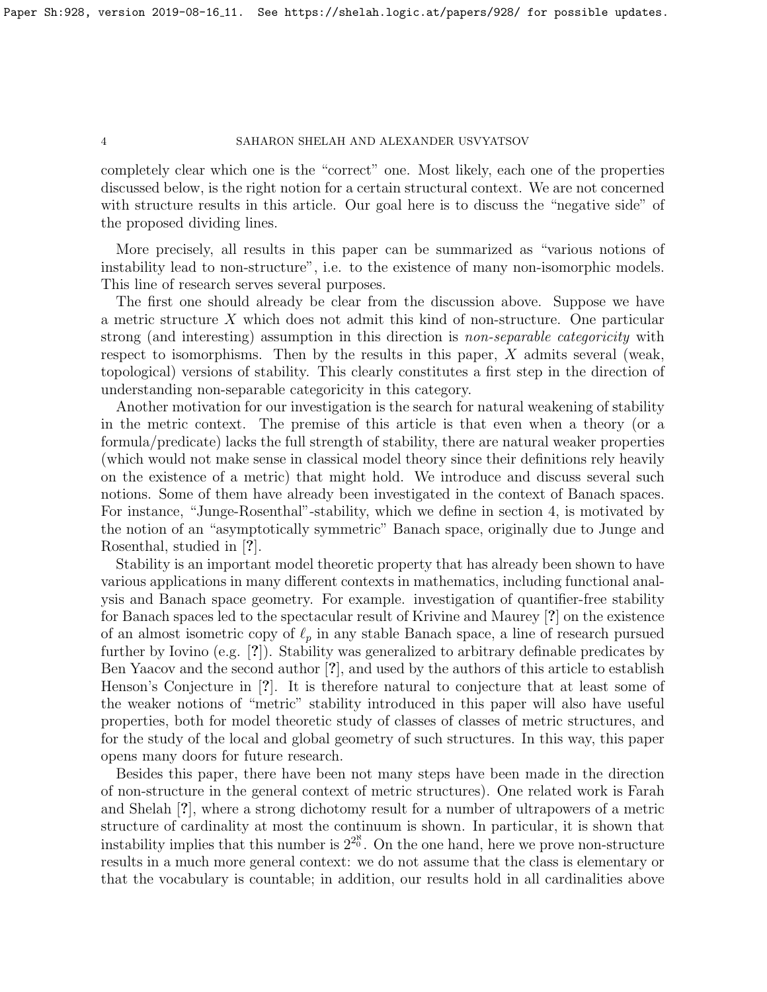completely clear which one is the "correct" one. Most likely, each one of the properties discussed below, is the right notion for a certain structural context. We are not concerned with structure results in this article. Our goal here is to discuss the "negative side" of the proposed dividing lines.

More precisely, all results in this paper can be summarized as "various notions of instability lead to non-structure", i.e. to the existence of many non-isomorphic models. This line of research serves several purposes.

The first one should already be clear from the discussion above. Suppose we have a metric structure X which does not admit this kind of non-structure. One particular strong (and interesting) assumption in this direction is *non-separable categoricity* with respect to isomorphisms. Then by the results in this paper,  $X$  admits several (weak, topological) versions of stability. This clearly constitutes a first step in the direction of understanding non-separable categoricity in this category.

Another motivation for our investigation is the search for natural weakening of stability in the metric context. The premise of this article is that even when a theory (or a formula/predicate) lacks the full strength of stability, there are natural weaker properties (which would not make sense in classical model theory since their definitions rely heavily on the existence of a metric) that might hold. We introduce and discuss several such notions. Some of them have already been investigated in the context of Banach spaces. For instance, "Junge-Rosenthal"-stability, which we define in section 4, is motivated by the notion of an "asymptotically symmetric" Banach space, originally due to Junge and Rosenthal, studied in [?].

Stability is an important model theoretic property that has already been shown to have various applications in many different contexts in mathematics, including functional analysis and Banach space geometry. For example. investigation of quantifier-free stability for Banach spaces led to the spectacular result of Krivine and Maurey [?] on the existence of an almost isometric copy of  $\ell_p$  in any stable Banach space, a line of research pursued further by Iovino (e.g. [?]). Stability was generalized to arbitrary definable predicates by Ben Yaacov and the second author [?], and used by the authors of this article to establish Henson's Conjecture in [?]. It is therefore natural to conjecture that at least some of the weaker notions of "metric" stability introduced in this paper will also have useful properties, both for model theoretic study of classes of classes of metric structures, and for the study of the local and global geometry of such structures. In this way, this paper opens many doors for future research.

Besides this paper, there have been not many steps have been made in the direction of non-structure in the general context of metric structures). One related work is Farah and Shelah [?], where a strong dichotomy result for a number of ultrapowers of a metric structure of cardinality at most the continuum is shown. In particular, it is shown that instability implies that this number is  $2^{2^{\aleph}}$ . On the one hand, here we prove non-structure results in a much more general context: we do not assume that the class is elementary or that the vocabulary is countable; in addition, our results hold in all cardinalities above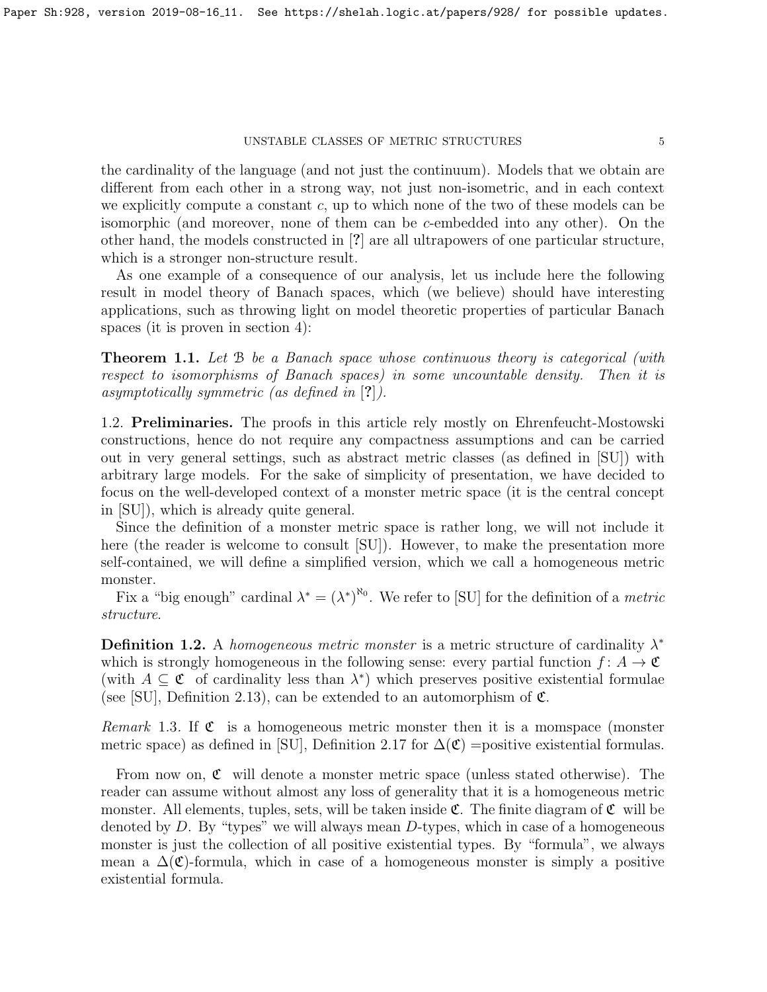the cardinality of the language (and not just the continuum). Models that we obtain are different from each other in a strong way, not just non-isometric, and in each context we explicitly compute a constant  $c$ , up to which none of the two of these models can be isomorphic (and moreover, none of them can be c-embedded into any other). On the other hand, the models constructed in [?] are all ultrapowers of one particular structure, which is a stronger non-structure result.

As one example of a consequence of our analysis, let us include here the following result in model theory of Banach spaces, which (we believe) should have interesting applications, such as throwing light on model theoretic properties of particular Banach spaces (it is proven in section 4):

<span id="page-4-0"></span>**Theorem 1.1.** Let B be a Banach space whose continuous theory is categorical (with respect to isomorphisms of Banach spaces) in some uncountable density. Then it is asymptotically symmetric (as defined in [?]).

1.2. Preliminaries. The proofs in this article rely mostly on Ehrenfeucht-Mostowski constructions, hence do not require any compactness assumptions and can be carried out in very general settings, such as abstract metric classes (as defined in [\[SU\]](#page-16-1)) with arbitrary large models. For the sake of simplicity of presentation, we have decided to focus on the well-developed context of a monster metric space (it is the central concept in [\[SU\]](#page-16-1)), which is already quite general.

Since the definition of a monster metric space is rather long, we will not include it here (the reader is welcome to consult [\[SU\]](#page-16-1)). However, to make the presentation more self-contained, we will define a simplified version, which we call a homogeneous metric monster.

Fix a "big enough" cardinal  $\lambda^* = (\lambda^*)^{\aleph_0}$ . We refer to [\[SU\]](#page-16-1) for the definition of a *metric* structure.

**Definition 1.2.** A homogeneous metric monster is a metric structure of cardinality  $\lambda^*$ which is strongly homogeneous in the following sense: every partial function  $f: A \to \mathfrak{C}$ (with  $A \subseteq \mathfrak{C}$  of cardinality less than  $\lambda^*$ ) which preserves positive existential formulae (see [\[SU\]](#page-16-1), Definition 2.13), can be extended to an automorphism of  $\mathfrak{C}$ .

*Remark* 1.3. If  $\mathfrak C$  is a homogeneous metric monster then it is a momspace (monster metric space) as defined in [\[SU\]](#page-16-1), Definition 2.17 for  $\Delta(\mathfrak{C})$  =positive existential formulas.

From now on,  $\mathfrak C$  will denote a monster metric space (unless stated otherwise). The reader can assume without almost any loss of generality that it is a homogeneous metric monster. All elements, tuples, sets, will be taken inside  $\mathfrak{C}$ . The finite diagram of  $\mathfrak{C}$  will be denoted by  $D$ . By "types" we will always mean  $D$ -types, which in case of a homogeneous monster is just the collection of all positive existential types. By "formula", we always mean a  $\Delta(\mathfrak{C})$ -formula, which in case of a homogeneous monster is simply a positive existential formula.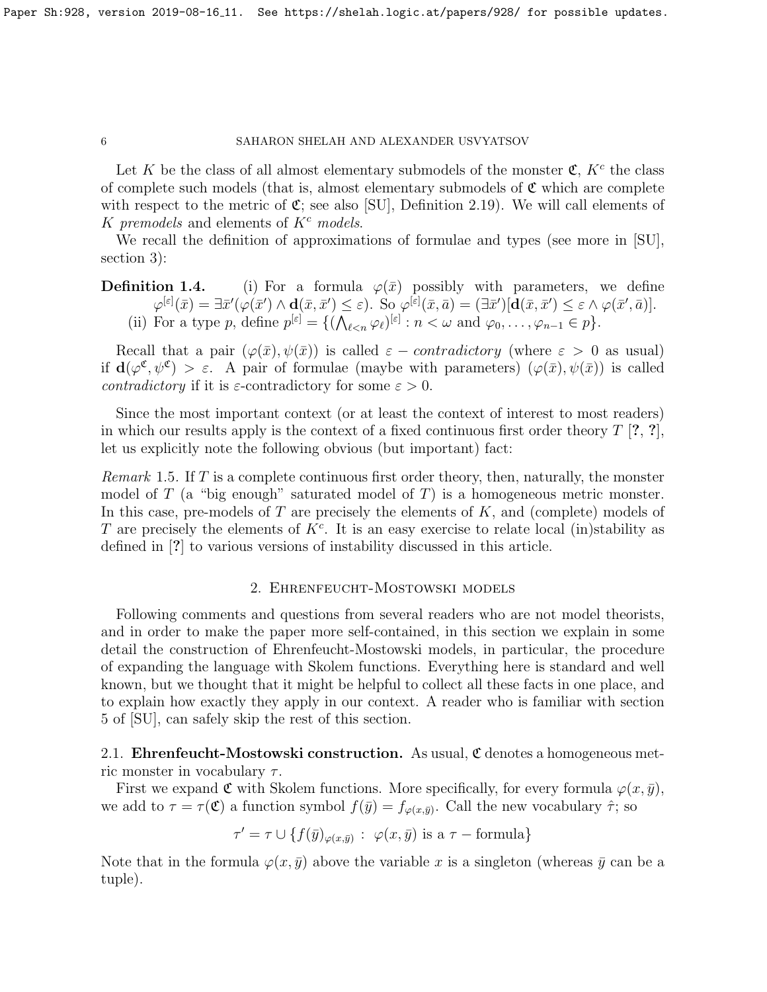Let K be the class of all almost elementary submodels of the monster  $\mathfrak{C}, K^c$  the class of complete such models (that is, almost elementary submodels of  $\mathfrak{C}$  which are complete with respect to the metric of  $\mathfrak{C}$ ; see also [\[SU\]](#page-16-1), Definition 2.19). We will call elements of K premodels and elements of  $K^c$  models.

We recall the definition of approximations of formulae and types (see more in [\[SU\]](#page-16-1), section 3):

**Definition 1.4.** (i) For a formula  $\varphi(\bar{x})$  possibly with parameters, we define  $\varphi^{[\varepsilon]}(\bar{x}) = \exists \bar{x}'(\varphi(\bar{x}') \wedge \mathbf{d}(\bar{x}, \bar{x}') \leq \varepsilon)$ . So  $\varphi^{[\varepsilon]}(\bar{x}, \bar{a}) = (\exists \bar{x}')[\mathbf{d}(\bar{x}, \bar{x}') \leq \varepsilon \wedge \varphi(\bar{x}', \bar{a})]$ . (ii) For a type p, define  $p^{[\varepsilon]} = \{ (\bigwedge_{\ell < n} \varphi_{\ell})^{[\varepsilon]} : n < \omega \text{ and } \varphi_0, \dots, \varphi_{n-1} \in p \}.$ 

Recall that a pair  $(\varphi(\bar{x}), \psi(\bar{x}))$  is called  $\varepsilon$  – *contradictory* (where  $\varepsilon > 0$  as usual) if  $d(\varphi^{\mathfrak{C}}, \psi^{\mathfrak{C}}) > \varepsilon$ . A pair of formulae (maybe with parameters)  $(\varphi(\bar{x}), \psi(\bar{x}))$  is called *contradictory* if it is  $\varepsilon$ -contradictory for some  $\varepsilon > 0$ .

Since the most important context (or at least the context of interest to most readers) in which our results apply is the context of a fixed continuous first order theory  $T$  [?, ?], let us explicitly note the following obvious (but important) fact:

*Remark* 1.5. If T is a complete continuous first order theory, then, naturally, the monster model of  $T$  (a "big enough" saturated model of  $T$ ) is a homogeneous metric monster. In this case, pre-models of  $T$  are precisely the elements of  $K$ , and (complete) models of T are precisely the elements of  $K<sup>c</sup>$ . It is an easy exercise to relate local (in)stability as defined in [?] to various versions of instability discussed in this article.

## 2. Ehrenfeucht-Mostowski models

Following comments and questions from several readers who are not model theorists, and in order to make the paper more self-contained, in this section we explain in some detail the construction of Ehrenfeucht-Mostowski models, in particular, the procedure of expanding the language with Skolem functions. Everything here is standard and well known, but we thought that it might be helpful to collect all these facts in one place, and to explain how exactly they apply in our context. A reader who is familiar with section 5 of [\[SU\]](#page-16-1), can safely skip the rest of this section.

2.1. Ehrenfeucht-Mostowski construction. As usual,  $\mathfrak C$  denotes a homogeneous metric monster in vocabulary  $\tau$ .

First we expand  $\mathfrak C$  with Skolem functions. More specifically, for every formula  $\varphi(x, \bar y)$ , we add to  $\tau = \tau(\mathfrak{C})$  a function symbol  $f(\bar{y}) = f_{\varphi(x,\bar{y})}$ . Call the new vocabulary  $\hat{\tau}$ ; so

 $\tau' = \tau \cup \{ f(\bar{y})_{\varphi(x,\bar{y})} : \varphi(x,\bar{y}) \text{ is a } \tau \text{ - formula} \}$ 

Note that in the formula  $\varphi(x, \bar{y})$  above the variable x is a singleton (whereas  $\bar{y}$  can be a tuple).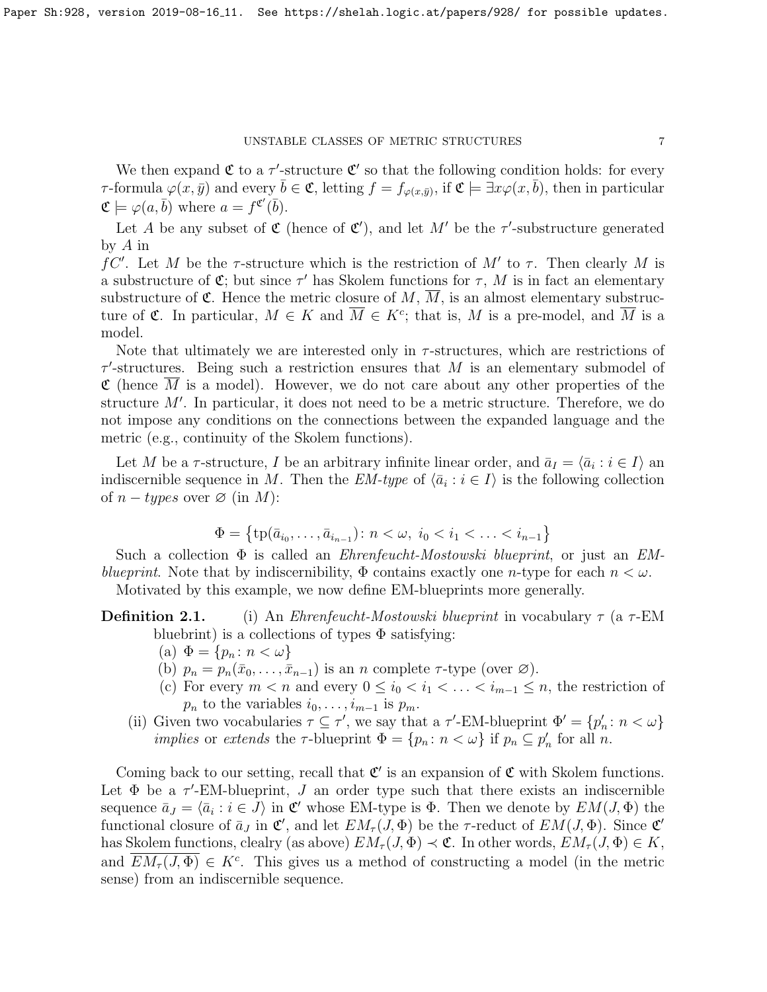We then expand  $\mathfrak C$  to a  $\tau'$ -structure  $\mathfrak C'$  so that the following condition holds: for every  $\tau$ -formula  $\varphi(x,\bar{y})$  and every  $\bar{b}\in\mathfrak{C}$ , letting  $f=f_{\varphi(x,\bar{y})}$ , if  $\mathfrak{C}\models \exists x\varphi(x,\bar{b})$ , then in particular  $\mathfrak{C} \models \varphi(a, \bar{b})$  where  $a = f^{\mathfrak{C}'}(\bar{b})$ .

Let A be any subset of  $\mathfrak{C}$  (hence of  $\mathfrak{C}'$ ), and let M' be the  $\tau'$ -substructure generated by A in

fC'. Let M be the  $\tau$ -structure which is the restriction of M' to  $\tau$ . Then clearly M is a substructure of  $\mathfrak{C}$ ; but since  $\tau'$  has Skolem functions for  $\tau$ , M is in fact an elementary substructure of  $\mathfrak{C}$ . Hence the metric closure of M,  $\overline{M}$ , is an almost elementary substructure of  $\mathfrak{C}$ . In particular,  $M \in K$  and  $\overline{M} \in K^c$ ; that is, M is a pre-model, and  $\overline{M}$  is a model.

Note that ultimately we are interested only in  $\tau$ -structures, which are restrictions of  $\tau'$ -structures. Being such a restriction ensures that M is an elementary submodel of  $\mathfrak C$  (hence  $\overline{M}$  is a model). However, we do not care about any other properties of the structure  $M'$ . In particular, it does not need to be a metric structure. Therefore, we do not impose any conditions on the connections between the expanded language and the metric (e.g., continuity of the Skolem functions).

Let M be a  $\tau$ -structure, I be an arbitrary infinite linear order, and  $\bar{a}_I = \langle \bar{a}_i : i \in I \rangle$  an indiscernible sequence in M. Then the  $EM\text{-}type$  of  $\langle \bar{a}_i : i \in I \rangle$  is the following collection of  $n - types$  over  $\varnothing$  (in M):

$$
\Phi = \left\{ \text{tp}(\bar{a}_{i_0}, \dots, \bar{a}_{i_{n-1}}) : n < \omega, \ i_0 < i_1 < \dots < i_{n-1} \right\}
$$

Such a collection  $\Phi$  is called an *Ehrenfeucht-Mostowski blueprint*, or just an *EM*blueprint. Note that by indiscernibility,  $\Phi$  contains exactly one n-type for each  $n < \omega$ .

Motivated by this example, we now define EM-blueprints more generally.

**Definition 2.1.** (i) An *Ehrenfeucht-Mostowski blueprint* in vocabulary  $\tau$  (a  $\tau$ -EM bluebrint) is a collections of types  $\Phi$  satisfying:

- (a)  $\Phi = \{p_n : n < \omega\}$
- (b)  $p_n = p_n(\bar{x}_0, \ldots, \bar{x}_{n-1})$  is an n complete  $\tau$ -type (over  $\varnothing$ ).
- (c) For every  $m < n$  and every  $0 \leq i_0 < i_1 < \ldots < i_{m-1} \leq n$ , the restriction of  $p_n$  to the variables  $i_0, \ldots, i_{m-1}$  is  $p_m$ .
- (ii) Given two vocabularies  $\tau \subseteq \tau'$ , we say that a  $\tau'$ -EM-blueprint  $\Phi' = \{p'_n : n < \omega\}$ *implies* or extends the  $\tau$ -blueprint  $\Phi = \{p_n : n < \omega\}$  if  $p_n \subseteq p'_n$  for all n.

Coming back to our setting, recall that  $\mathfrak{C}'$  is an expansion of  $\mathfrak{C}$  with Skolem functions. Let  $\Phi$  be a  $\tau'$ -EM-blueprint, J an order type such that there exists an indiscernible sequence  $\bar{a}_J = \langle \bar{a}_i : i \in J \rangle$  in C' whose EM-type is  $\Phi$ . Then we denote by  $EM(J, \Phi)$  the functional closure of  $\bar{a}_J$  in  $\mathfrak{C}'$ , and let  $EM_{\tau}(J, \Phi)$  be the  $\tau$ -reduct of  $EM(J, \Phi)$ . Since  $\mathfrak{C}'$ has Skolem functions, clealry (as above)  $EM_{\tau}(J, \Phi) \prec \mathfrak{C}$ . In other words,  $EM_{\tau}(J, \Phi) \in K$ , and  $\overline{EM_{\tau}(J,\Phi)} \in K^c$ . This gives us a method of constructing a model (in the metric sense) from an indiscernible sequence.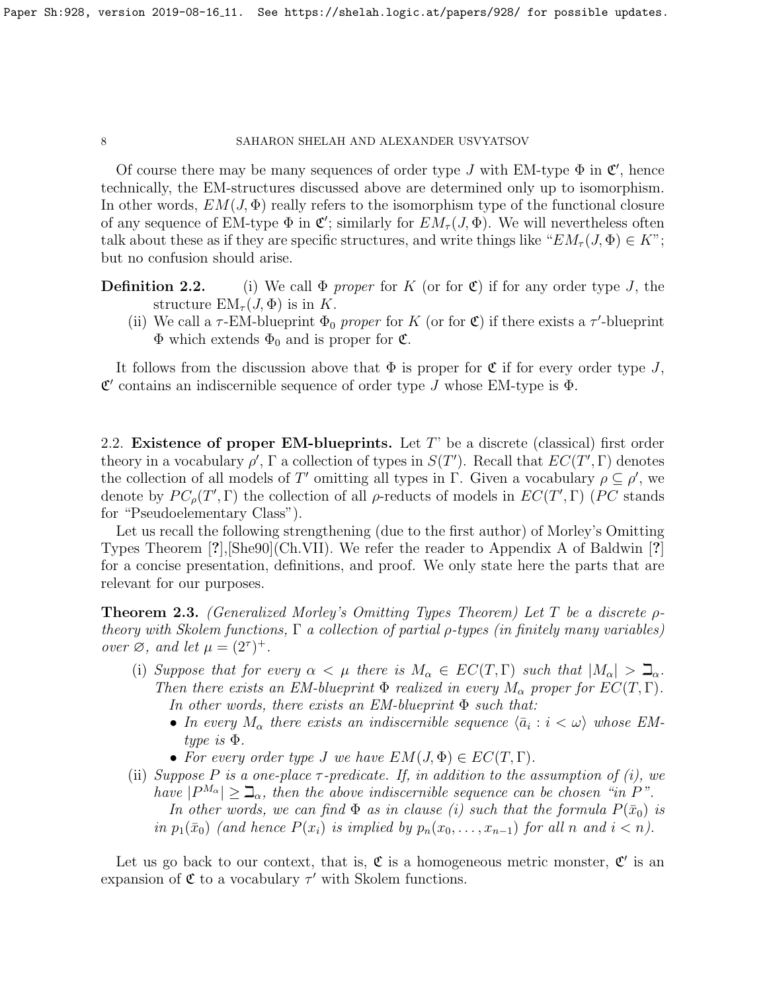Of course there may be many sequences of order type J with EM-type  $\Phi$  in  $\mathfrak{C}'$ , hence technically, the EM-structures discussed above are determined only up to isomorphism. In other words,  $EM(J, \Phi)$  really refers to the isomorphism type of the functional closure of any sequence of EM-type  $\Phi$  in  $\mathfrak{C}'$ ; similarly for  $EM_{\tau}(J, \Phi)$ . We will nevertheless often talk about these as if they are specific structures, and write things like " $EM_{\tau}(J, \Phi) \in K$ "; but no confusion should arise.

**Definition 2.2.** (i) We call  $\Phi$  proper for K (or for  $\mathfrak{C}$ ) if for any order type J, the structure  $EM_{\tau}(J, \Phi)$  is in K.

(ii) We call a  $\tau$ -EM-blueprint  $\Phi_0$  proper for K (or for  $\mathfrak{C}$ ) if there exists a  $\tau$ -blueprint  $\Phi$  which extends  $\Phi_0$  and is proper for  $\mathfrak{C}$ .

It follows from the discussion above that  $\Phi$  is proper for  $\mathfrak C$  if for every order type J,  $\mathfrak{C}'$  contains an indiscernible sequence of order type J whose EM-type is  $\Phi$ .

2.2. Existence of proper EM-blueprints. Let  $T'$  be a discrete (classical) first order theory in a vocabulary  $\rho'$ ,  $\Gamma$  a collection of types in  $S(T')$ . Recall that  $EC(T', \Gamma)$  denotes the collection of all models of T' omitting all types in  $\Gamma$ . Given a vocabulary  $\rho \subseteq \rho'$ , we denote by  $PC_{\rho}(T', \Gamma)$  the collection of all  $\rho$ -reducts of models in  $EC(T', \Gamma)$  (PC stands for "Pseudoelementary Class").

Let us recall the following strengthening (due to the first author) of Morley's Omitting Types Theorem [?],[\[She90\]](#page-16-0)(Ch.VII). We refer the reader to Appendix A of Baldwin [?] for a concise presentation, definitions, and proof. We only state here the parts that are relevant for our purposes.

<span id="page-7-0"></span>**Theorem 2.3.** (Generalized Morley's Omitting Types Theorem) Let T be a discrete  $\rho$ theory with Skolem functions,  $\Gamma$  a collection of partial  $\rho$ -types (in finitely many variables) over  $\varnothing$ , and let  $\mu = (2^{\tau})^+$ .

- (i) Suppose that for every  $\alpha < \mu$  there is  $M_{\alpha} \in EC(T, \Gamma)$  such that  $|M_{\alpha}| > \mathbb{Z}_{\alpha}$ . Then there exists an EM-blueprint  $\Phi$  realized in every  $M_{\alpha}$  proper for  $EC(T, \Gamma)$ . In other words, there exists an EM-blueprint  $\Phi$  such that:
	- In every  $M_{\alpha}$  there exists an indiscernible sequence  $\langle \bar{a}_i : i < \omega \rangle$  whose EMtype is Φ.
	- For every order type J we have  $EM(J, \Phi) \in EC(T, \Gamma)$ .
- (ii) Suppose P is a one-place  $\tau$ -predicate. If, in addition to the assumption of (i), we have  $|P^{M_{\alpha}}| \geq \mathcal{I}_{\alpha}$ , then the above indiscernible sequence can be chosen "in P". In other words, we can find  $\Phi$  as in clause (i) such that the formula  $P(\bar{x}_0)$  is in  $p_1(\bar{x}_0)$  (and hence  $P(x_i)$  is implied by  $p_n(x_0, \ldots, x_{n-1})$  for all n and  $i < n$ ).

Let us go back to our context, that is,  $\mathfrak C$  is a homogeneous metric monster,  $\mathfrak C'$  is an expansion of  $\mathfrak C$  to a vocabulary  $\tau'$  with Skolem functions.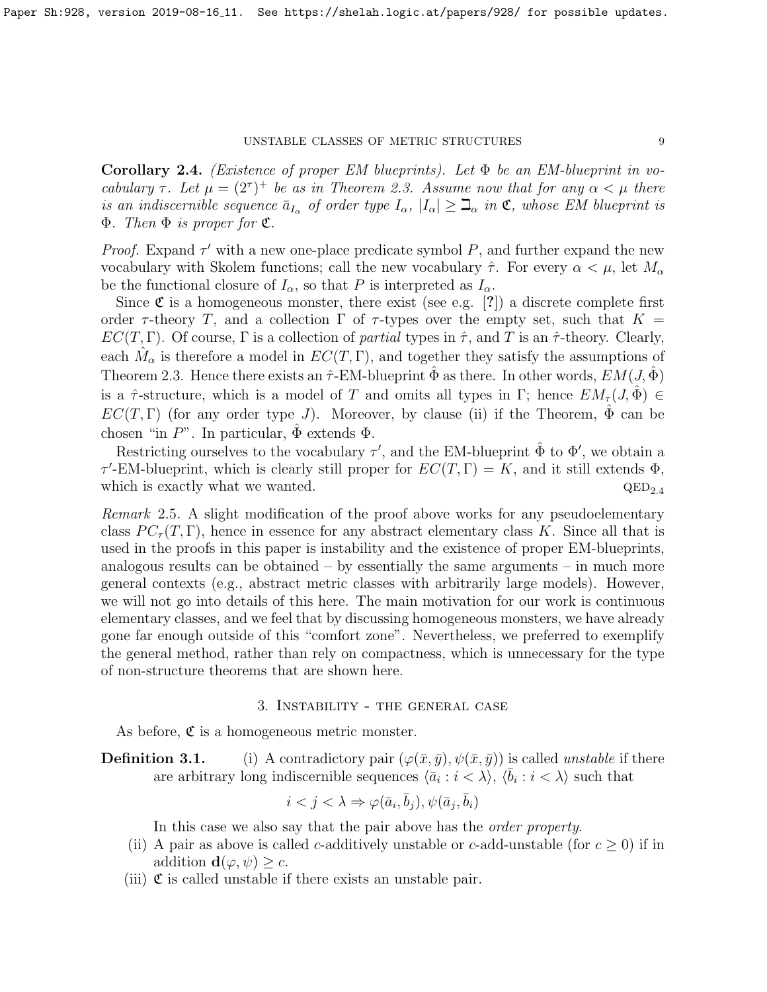<span id="page-8-0"></span>**Corollary 2.4.** (Existence of proper EM blueprints). Let  $\Phi$  be an EM-blueprint in vocabulary  $\tau$ . Let  $\mu = (2^{\tau})^+$  be as in Theorem [2.3.](#page-7-0) Assume now that for any  $\alpha < \mu$  there is an indiscernible sequence  $\bar{a}_{I_{\alpha}}$  of order type  $I_{\alpha}$ ,  $|I_{\alpha}| \geq \mathcal{I}_{\alpha}$  in  $\mathfrak{C}$ , whose EM blueprint is  $\Phi$ . Then  $\Phi$  is proper for  $\mathfrak{C}$ .

*Proof.* Expand  $\tau'$  with a new one-place predicate symbol P, and further expand the new vocabulary with Skolem functions; call the new vocabulary  $\hat{\tau}$ . For every  $\alpha < \mu$ , let  $M_{\alpha}$ be the functional closure of  $I_{\alpha}$ , so that P is interpreted as  $I_{\alpha}$ .

Since  $\mathfrak C$  is a homogeneous monster, there exist (see e.g. [?]) a discrete complete first order  $\tau$ -theory T, and a collection  $\Gamma$  of  $\tau$ -types over the empty set, such that  $K =$  $EC(T, \Gamma)$ . Of course,  $\Gamma$  is a collection of *partial* types in  $\hat{\tau}$ , and T is an  $\hat{\tau}$ -theory. Clearly, each  $\hat{M}_{\alpha}$  is therefore a model in  $EC(T, \Gamma)$ , and together they satisfy the assumptions of Theorem [2.3.](#page-7-0) Hence there exists an  $\hat{\tau}$ -EM-blueprint  $\hat{\Phi}$  as there. In other words,  $EM(J, \hat{\Phi})$ is a  $\hat{\tau}$ -structure, which is a model of T and omits all types in Γ; hence  $EM_{\tau}(J, \hat{\Phi}) \in$  $EC(T, \Gamma)$  (for any order type J). Moreover, by clause (ii) if the Theorem,  $\hat{\Phi}$  can be chosen "in  $P$ ". In particular,  $\hat{\Phi}$  extends  $\Phi$ .

Restricting ourselves to the vocabulary  $\tau'$ , and the EM-blueprint  $\hat{\Phi}$  to  $\Phi'$ , we obtain a  $\tau'$ -EM-blueprint, which is clearly still proper for  $EC(T, \Gamma) = K$ , and it still extends  $\Phi$ , which is exactly what we wanted.  $QED_{2.4}$ 

Remark 2.5. A slight modification of the proof above works for any pseudoelementary class  $PC_{\tau}(T, \Gamma)$ , hence in essence for any abstract elementary class K. Since all that is used in the proofs in this paper is instability and the existence of proper EM-blueprints, analogous results can be obtained  $-$  by essentially the same arguments  $-$  in much more general contexts (e.g., abstract metric classes with arbitrarily large models). However, we will not go into details of this here. The main motivation for our work is continuous elementary classes, and we feel that by discussing homogeneous monsters, we have already gone far enough outside of this "comfort zone". Nevertheless, we preferred to exemplify the general method, rather than rely on compactness, which is unnecessary for the type of non-structure theorems that are shown here.

## 3. Instability - the general case

As before,  $\mathfrak C$  is a homogeneous metric monster.

**Definition 3.1.** (i) A contradictory pair  $(\varphi(\bar{x}, \bar{y}), \psi(\bar{x}, \bar{y}))$  is called unstable if there are arbitrary long indiscernible sequences  $\langle \overline{a}_i : i \langle \overline{\lambda} \rangle, \langle \overline{b}_i : i \langle \overline{\lambda} \rangle \rangle$  such that

$$
i < j < \lambda \Rightarrow \varphi(\bar{a}_i, \bar{b}_j), \psi(\bar{a}_j, \bar{b}_i)
$$

In this case we also say that the pair above has the *order property*.

- (ii) A pair as above is called c-additively unstable or c-add-unstable (for  $c \ge 0$ ) if in addition  $\mathbf{d}(\varphi, \psi) \geq c$ .
- (iii)  $\mathfrak C$  is called unstable if there exists an unstable pair.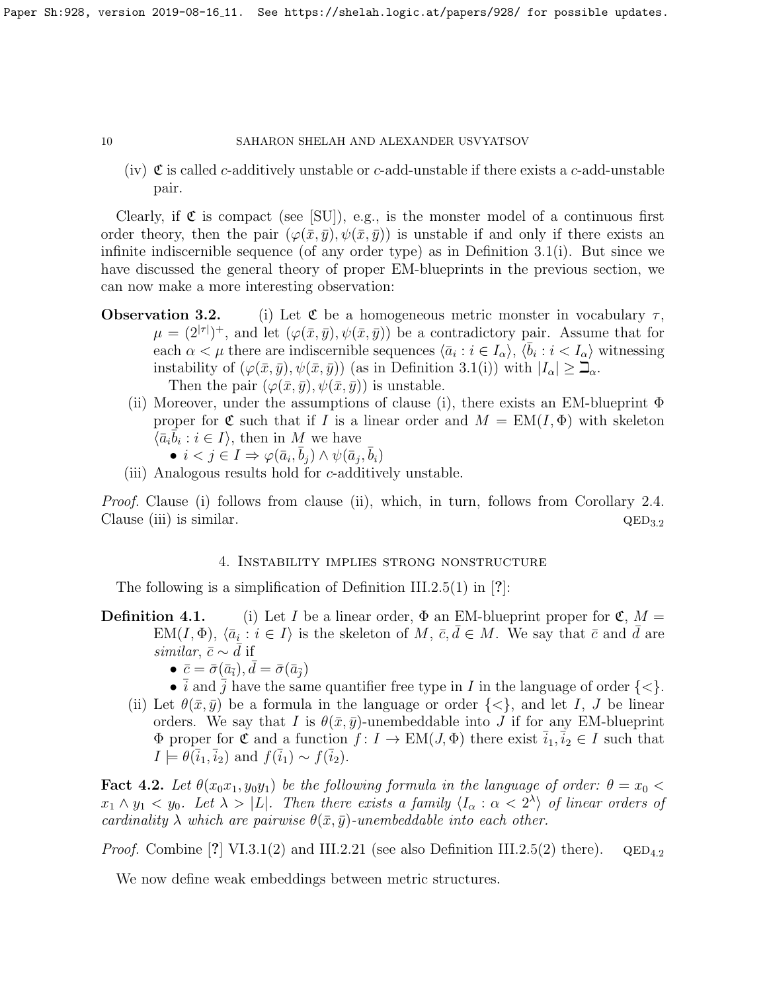(iv)  $\mathfrak C$  is called c-additively unstable or c-add-unstable if there exists a c-add-unstable pair.

Clearly, if  $\mathfrak C$  is compact (see [\[SU\]](#page-16-1)), e.g., is the monster model of a continuous first order theory, then the pair  $(\varphi(\bar{x}, \bar{y}), \psi(\bar{x}, \bar{y}))$  is unstable if and only if there exists an infinite indiscernible sequence (of any order type) as in Definition [3.1\(](#page-0-0)i). But since we have discussed the general theory of proper EM-blueprints in the previous section, we can now make a more interesting observation:

- **Observation 3.2.** (i) Let  $\mathfrak{C}$  be a homogeneous metric monster in vocabulary  $\tau$ ,  $\mu = (2^{|\tau|})^+,$  and let  $(\varphi(\bar{x}, \bar{y}), \psi(\bar{x}, \bar{y}))$  be a contradictory pair. Assume that for each  $\alpha < \mu$  there are indiscernible sequences  $\langle \bar{a}_i : i \in I_\alpha \rangle$ ,  $\langle \bar{b}_i : i < I_\alpha \rangle$  witnessing instability of  $(\varphi(\bar{x}, \bar{y}), \psi(\bar{x}, \bar{y}))$  (as in Definition [3.1\(](#page-0-0)i)) with  $|I_{\alpha}| \geq \mathbb{Z}_{\alpha}$ . Then the pair  $(\varphi(\bar{x}, \bar{y}), \psi(\bar{x}, \bar{y}))$  is unstable.
	- (ii) Moreover, under the assumptions of clause (i), there exists an EM-blueprint  $\Phi$ proper for  $\mathfrak C$  such that if I is a linear order and  $M = EM(I, \Phi)$  with skeleton  $\{\bar{a}_i\bar{b}_i : i \in I\}$ , then in M we have
		- $i < j \in I \Rightarrow \varphi(\bar{a}_i, \bar{b}_j) \wedge \psi(\bar{a}_j, \bar{b}_i)$
	- (iii) Analogous results hold for c-additively unstable.

*Proof.* Clause (i) follows from clause (ii), which, in turn, follows from Corollary [2.4.](#page-8-0) Clause (iii) is similar.  $QED_{3.2}$ 

## 4. Instability implies strong nonstructure

The following is a simplification of Definition III.2.5(1) in [?]:

- **Definition 4.1.** (i) Let I be a linear order,  $\Phi$  an EM-blueprint proper for  $\mathfrak{C}$ ,  $M =$  $EM(I, \Phi), \langle \bar{a}_i : i \in I \rangle$  is the skeleton of M,  $\bar{c}, \bar{d} \in M$ . We say that  $\bar{c}$  and  $\bar{d}$  are similar,  $\bar{c} \sim d$  if
	- $\bullet\ \bar c=\bar\sigma(\bar a_{\bar i}), \bar d=\bar\sigma(\bar a_{\bar j})$
	- *i* and *j* have the same quantifier free type in *I* in the language of order  $\{\leq\}$ .
	- (ii) Let  $\theta(\bar{x}, \bar{y})$  be a formula in the language or order  $\{\leq\}$ , and let I, J be linear orders. We say that I is  $\theta(\bar{x}, \bar{y})$ -unembeddable into J if for any EM-blueprint  $\Phi$  proper for **c** and a function  $f: I \to EM(J, \Phi)$  there exist  $\overline{i}_1, \overline{i}_2 \in I$  such that  $I \models \theta(\bar{i}_1, \bar{i}_2)$  and  $f(\bar{i}_1) \sim f(\bar{i}_2)$ .

<span id="page-9-0"></span>**Fact 4.2.** Let  $\theta(x_0x_1, y_0y_1)$  be the following formula in the language of order:  $\theta = x_0$  $x_1 \wedge y_1 < y_0$ . Let  $\lambda > |L|$ . Then there exists a family  $\langle I_\alpha : \alpha < 2^{\lambda} \rangle$  of linear orders of cardinality  $\lambda$  which are pairwise  $\theta(\bar{x}, \bar{y})$ -unembeddable into each other.

*Proof.* Combine [?] VI.3.1(2) and III.2.21 (see also Definition III.2.5(2) there).  $QED_{4,2}$ 

We now define weak embeddings between metric structures.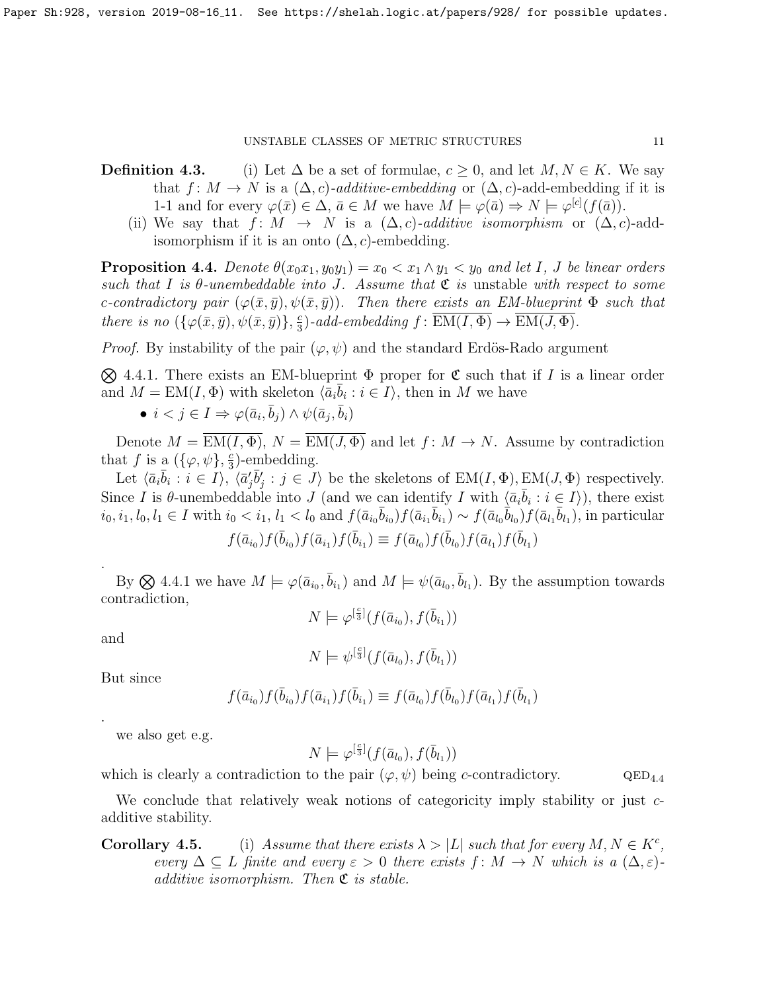- **Definition 4.3.** (i) Let  $\Delta$  be a set of formulae,  $c \geq 0$ , and let  $M, N \in K$ . We say that  $f: M \to N$  is a  $(\Delta, c)$ -additive-embedding or  $(\Delta, c)$ -add-embedding if it is 1-1 and for every  $\varphi(\bar{x}) \in \Delta$ ,  $\bar{a} \in M$  we have  $M \models \varphi(\bar{a}) \Rightarrow N \models \varphi^{[c]}(f(\bar{a}))$ .
	- (ii) We say that  $f: M \rightarrow N$  is a  $(\Delta, c)$ -additive isomorphism or  $(\Delta, c)$ -addisomorphism if it is an onto  $(\Delta, c)$ -embedding.

<span id="page-10-1"></span>**Proposition 4.4.** Denote  $\theta(x_0x_1, y_0y_1) = x_0 < x_1 \wedge y_1 < y_0$  and let I, J be linear orders such that I is  $\theta$ -unembeddable into J. Assume that  $\mathfrak C$  is unstable with respect to some c-contradictory pair  $(\varphi(\bar{x}, \bar{y}), \psi(\bar{x}, \bar{y}))$ . Then there exists an EM-blueprint  $\Phi$  such that there is no  $(\{\varphi(\bar{x}, \bar{y}), \psi(\bar{x}, \bar{y})\}, \frac{c}{3})$  $\frac{c}{3}$ )-add-embedding  $f: EM(I, \Phi) \rightarrow EM(J, \Phi)$ .

*Proof.* By instability of the pair  $(\varphi, \psi)$  and the standard Erdös-Rado argument

<span id="page-10-0"></span> $\otimes$  4.4.1. There exists an EM-blueprint  $\Phi$  proper for  $\mathfrak C$  such that if I is a linear order and  $M = EM(I, \Phi)$  with skeleton  $\langle \bar{a}_i \bar{b}_i : i \in I \rangle$ , then in M we have

• 
$$
i < j \in I \Rightarrow \varphi(\bar{a}_i, \bar{b}_j) \land \psi(\bar{a}_j, \bar{b}_i)
$$

Denote  $M = \overline{EM(I, \Phi)}, N = \overline{EM(J, \Phi)}$  and let  $f: M \to N$ . Assume by contradiction that f is a  $(\{\varphi, \psi\}, \frac{c}{3})$  $\frac{c}{3}$ )-embedding.

Let  $\langle \bar{a}_i \bar{b}_i : i \in I \rangle$ ,  $\langle \bar{a}'_j \bar{b}'_j : j \in J \rangle$  be the skeletons of  $EM(I, \Phi), EM(J, \Phi)$  respectively. Since I is  $\theta$ -unembeddable into J (and we can identify I with  $\langle \bar{a}_i \bar{b}_i : i \in I \rangle$ ), there exist  $i_0, i_1, l_0, l_1 \in I$  with  $i_0 < i_1, l_1 < l_0$  and  $f(\bar{a}_{i_0}\bar{b}_{i_0})f(\bar{a}_{i_1}\bar{b}_{i_1}) \sim f(\bar{a}_{l_0}\bar{b}_{l_0})f(\bar{a}_{l_1}\bar{b}_{l_1})$ , in particular

$$
f(\bar{a}_{i_0})f(\bar{b}_{i_0})f(\bar{a}_{i_1})f(\bar{b}_{i_1}) \equiv f(\bar{a}_{l_0})f(\bar{b}_{l_0})f(\bar{a}_{l_1})f(\bar{b}_{l_1})
$$

By  $\otimes$  [4.4.1](#page-10-0) we have  $M \models \varphi(\bar{a}_{i_0}, \bar{b}_{i_1})$  and  $M \models \psi(\bar{a}_{l_0}, \bar{b}_{l_1})$ . By the assumption towards contradiction,

$$
N \models \varphi^{[\frac{c}{3}]}(f(\bar{a}_{i_0}), f(\bar{b}_{i_1}))
$$

and

.

.

$$
N\models \psi^{[\frac{e}{3}]}(f(\bar{a}_{l_0}),f(\bar{b}_{l_1}))
$$

But since

$$
f(\bar{a}_{i_0})f(\bar{b}_{i_0})f(\bar{a}_{i_1})f(\bar{b}_{i_1}) \equiv f(\bar{a}_{l_0})f(\bar{b}_{l_0})f(\bar{a}_{l_1})f(\bar{b}_{l_1})
$$

we also get e.g.

$$
N\models\varphi^{[\frac{c}{3}]}(f(\bar{a}_{l_0}),f(\bar{b}_{l_1}))
$$

which is clearly a contradiction to the pair  $(\varphi, \psi)$  being c-contradictory. QED<sub>4.4</sub>

We conclude that relatively weak notions of categoricity imply stability or just cadditive stability.

**Corollary 4.5.** (i) Assume that there exists  $\lambda > |L|$  such that for every  $M, N \in K^c$ , every  $\Delta \subseteq L$  finite and every  $\varepsilon > 0$  there exists  $f: M \to N$  which is a  $(\Delta, \varepsilon)$ additive isomorphism. Then  $\mathfrak{C}$  is stable.

$$
11\quad
$$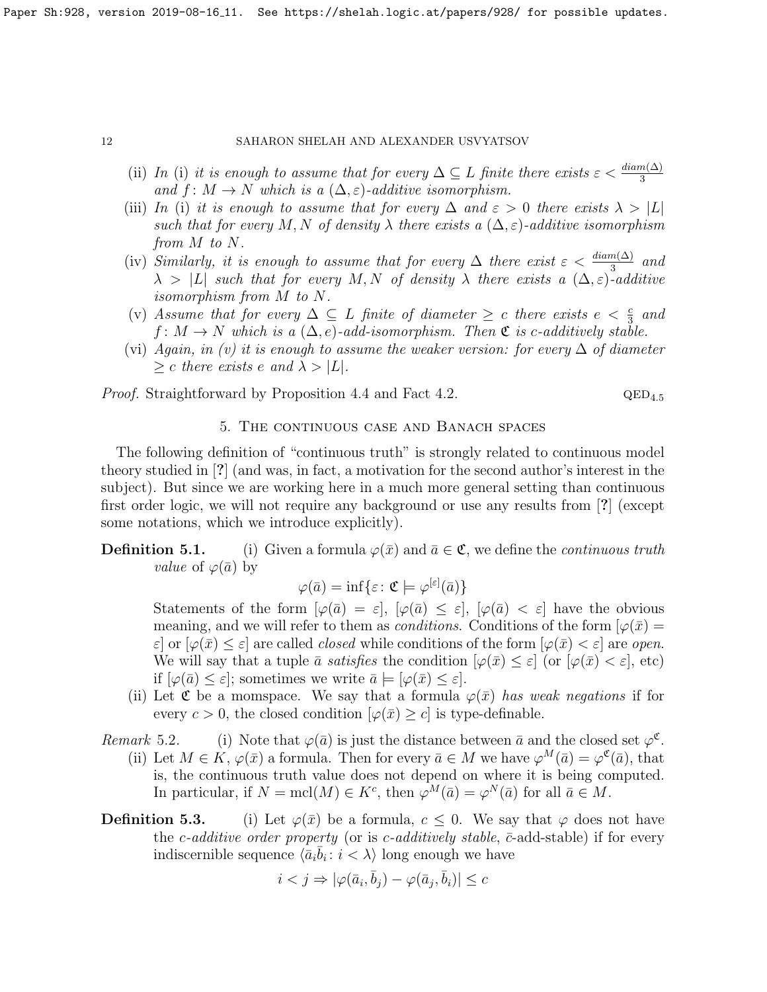- (ii) In (i) it is enough to assume that for every  $\Delta \subseteq L$  finite there exists  $\varepsilon < \frac{diam(\Delta)}{3}$ and  $f: M \to N$  which is a  $(\Delta, \varepsilon)$ -additive isomorphism.
- (iii) In (i) it is enough to assume that for every  $\Delta$  and  $\varepsilon > 0$  there exists  $\lambda > |L|$ such that for every M, N of density  $\lambda$  there exists a  $(\Delta, \varepsilon)$ -additive isomorphism from M to N.
- (iv) Similarly, it is enough to assume that for every  $\Delta$  there exist  $\varepsilon < \frac{diam(\Delta)}{3}$  and  $\lambda > |L|$  such that for every M, N of density  $\lambda$  there exists a  $(\Delta, \varepsilon)$ -additive isomorphism from M to N.
- (v) Assume that for every  $\Delta \subseteq L$  finite of diameter  $\geq c$  there exists  $e < \frac{c}{3}$  and  $f: M \to N$  which is a  $(\Delta, e)$ -add-isomorphism. Then  $\mathfrak{C}$  is c-additively stable.
- (vi) Again, in (v) it is enough to assume the weaker version: for every  $\Delta$  of diameter  $\geq c$  there exists e and  $\lambda > |L|$ .

*Proof.* Straightforward by Proposition [4.4](#page-10-1) and Fact [4.2.](#page-9-0)  $QED_{4.5}$ 

# 5. The continuous case and Banach spaces

The following definition of "continuous truth" is strongly related to continuous model theory studied in [?] (and was, in fact, a motivation for the second author's interest in the subject). But since we are working here in a much more general setting than continuous first order logic, we will not require any background or use any results from [?] (except some notations, which we introduce explicitly).

# **Definition 5.1.** (i) Given a formula  $\varphi(\bar{x})$  and  $\bar{a} \in \mathfrak{C}$ , we define the *continuous truth value* of  $\varphi(\bar{a})$  by

$$
\varphi(\bar{a}) = \inf \{ \varepsilon \colon \mathfrak{C} \models \varphi^{[\varepsilon]}(\bar{a}) \}
$$

Statements of the form  $[\varphi(\bar{a}) = \varepsilon], [\varphi(\bar{a}) \leq \varepsilon], [\varphi(\bar{a}) < \varepsilon]$  have the obvious meaning, and we will refer to them as *conditions*. Conditions of the form  $\varphi(\bar{x}) =$  $\varepsilon$  or  $[\varphi(\bar{x}) \leq \varepsilon]$  are called *closed* while conditions of the form  $[\varphi(\bar{x}) \leq \varepsilon]$  are *open*. We will say that a tuple  $\bar{a}$  satisfies the condition  $[\varphi(\bar{x}) \leq \varepsilon]$  (or  $[\varphi(\bar{x}) \leq \varepsilon]$ , etc) if  $[\varphi(\bar{a}) \leq \varepsilon]$ ; sometimes we write  $\bar{a} \models [\varphi(\bar{x}) \leq \varepsilon]$ .

(ii) Let  $\mathfrak C$  be a momspace. We say that a formula  $\varphi(\bar x)$  has weak negations if for every  $c > 0$ , the closed condition  $[\varphi(\bar{x}) \geq c]$  is type-definable.

Remark 5.2. (i) Note that  $\varphi(\bar{a})$  is just the distance between  $\bar{a}$  and the closed set  $\varphi^{\mathfrak{C}}$ .

- (ii) Let  $M \in K$ ,  $\varphi(\bar{x})$  a formula. Then for every  $\bar{a} \in M$  we have  $\varphi^M(\bar{a}) = \varphi^{\mathfrak{C}}(\bar{a})$ , that is, the continuous truth value does not depend on where it is being computed. In particular, if  $N = \text{mcl}(M) \in K^c$ , then  $\varphi^M(\bar{a}) = \varphi^N(\bar{a})$  for all  $\bar{a} \in M$ .
- **Definition 5.3.** (i) Let  $\varphi(\bar{x})$  be a formula,  $c \leq 0$ . We say that  $\varphi$  does not have the c-additive order property (or is c-additively stable,  $\bar{c}$ -add-stable) if for every indiscernible sequence  $\langle \bar{a}_i \bar{b}_i : i \rangle \langle \lambda \rangle$  long enough we have

$$
i < j \Rightarrow |\varphi(\bar{a}_i, \bar{b}_j) - \varphi(\bar{a}_j, \bar{b}_i)| \leq c
$$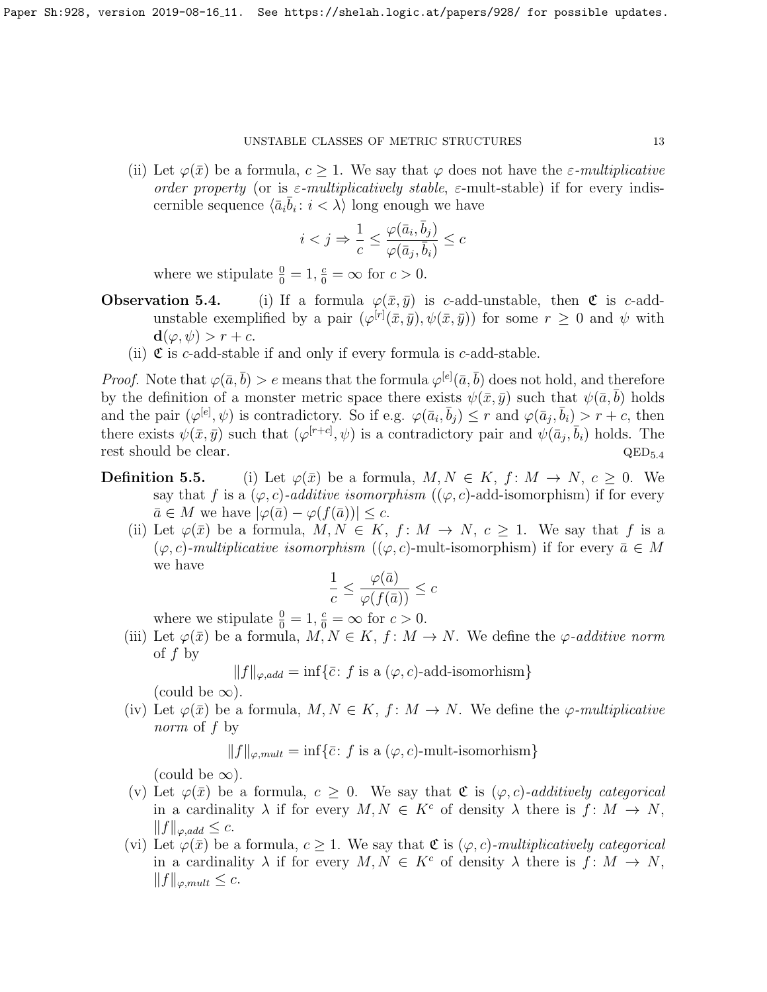(ii) Let  $\varphi(\bar{x})$  be a formula,  $c \geq 1$ . We say that  $\varphi$  does not have the  $\varepsilon$ -multiplicative order property (or is  $\varepsilon$ -multiplicatively stable,  $\varepsilon$ -mult-stable) if for every indiscernible sequence  $\langle \bar{a}_i \bar{b}_i : i < \lambda \rangle$  long enough we have

$$
i
$$

where we stipulate  $\frac{0}{0} = 1$ ,  $\frac{c}{0} = \infty$  for  $c > 0$ .

- **Observation 5.4.** (i) If a formula  $\varphi(\bar{x}, \bar{y})$  is c-add-unstable, then  $\mathfrak{C}$  is c-addunstable exemplified by a pair  $(\varphi^{[r]}(\bar{x}, \bar{y}), \psi(\bar{x}, \bar{y}))$  for some  $r \geq 0$  and  $\psi$  with  $\mathbf{d}(\varphi, \psi) > r + c.$ 
	- (ii)  $\mathfrak C$  is c-add-stable if and only if every formula is c-add-stable.

*Proof.* Note that  $\varphi(\bar{a}, \bar{b}) > e$  means that the formula  $\varphi^{[e]}(\bar{a}, \bar{b})$  does not hold, and therefore by the definition of a monster metric space there exists  $\psi(\bar{x}, \bar{y})$  such that  $\psi(\bar{a}, \bar{b})$  holds and the pair  $(\varphi^{[e]}, \psi)$  is contradictory. So if e.g.  $\varphi(\bar{a}_i, \bar{b}_j) \leq r$  and  $\varphi(\bar{a}_j, \bar{b}_i) > r + c$ , then there exists  $\psi(\bar{x}, \bar{y})$  such that  $(\varphi^{[r+c]}, \psi)$  is a contradictory pair and  $\psi(\bar{a}_j, \bar{b}_i)$  holds. The rest should be clear.  $QED_{5.4}$ 

- **Definition 5.5.** (i) Let  $\varphi(\bar{x})$  be a formula,  $M, N \in K$ ,  $f: M \to N$ ,  $c \geq 0$ . We say that f is a  $(\varphi, c)$ -additive isomorphism  $((\varphi, c)$ -add-isomorphism) if for every  $\bar{a} \in M$  we have  $|\varphi(\bar{a}) - \varphi(f(\bar{a}))| \leq c$ .
	- (ii) Let  $\varphi(\bar{x})$  be a formula,  $M, N \in K$ ,  $f: M \to N$ ,  $c \geq 1$ . We say that f is a  $(\varphi, c)$ -multiplicative isomorphism  $((\varphi, c)$ -mult-isomorphism) if for every  $\bar{a} \in M$ we have

$$
\frac{1}{c} \le \frac{\varphi(\bar{a})}{\varphi(f(\bar{a}))} \le c
$$

where we stipulate  $\frac{0}{0} = 1, \frac{c}{0} = \infty$  for  $c > 0$ .

(iii) Let  $\varphi(\bar{x})$  be a formula,  $M, N \in K$ ,  $f: M \to N$ . We define the  $\varphi$ -additive norm of  $f$  by

 $||f||_{\varphi, add} = \inf \{ \bar{c} : f \text{ is a } (\varphi, c) \text{-add-isomorphism} \}$ 

(could be  $\infty$ ).

(iv) Let  $\varphi(\bar{x})$  be a formula,  $M, N \in K$ ,  $f: M \to N$ . We define the  $\varphi$ -multiplicative norm of f by

$$
||f||_{\varphi, mult} = \inf \{ \bar{c} : f \text{ is a } (\varphi, c)\text{-mult-isomorphism} \}
$$

(could be  $\infty$ ).

- (v) Let  $\varphi(\bar{x})$  be a formula,  $c \geq 0$ . We say that  $\mathfrak{C}$  is  $(\varphi, c)$ -additively categorical in a cardinality  $\lambda$  if for every  $M, N \in K^c$  of density  $\lambda$  there is  $f: M \to N$ ,  $||f||_{\varphi,add} \leq c.$
- (vi) Let  $\varphi(\bar{x})$  be a formula,  $c \geq 1$ . We say that  $\mathfrak{C}$  is  $(\varphi, c)$ -multiplicatively categorical in a cardinality  $\lambda$  if for every  $M, N \in K^c$  of density  $\lambda$  there is  $f: M \to N$ ,  $||f||_{\varphi, mult} \leq c.$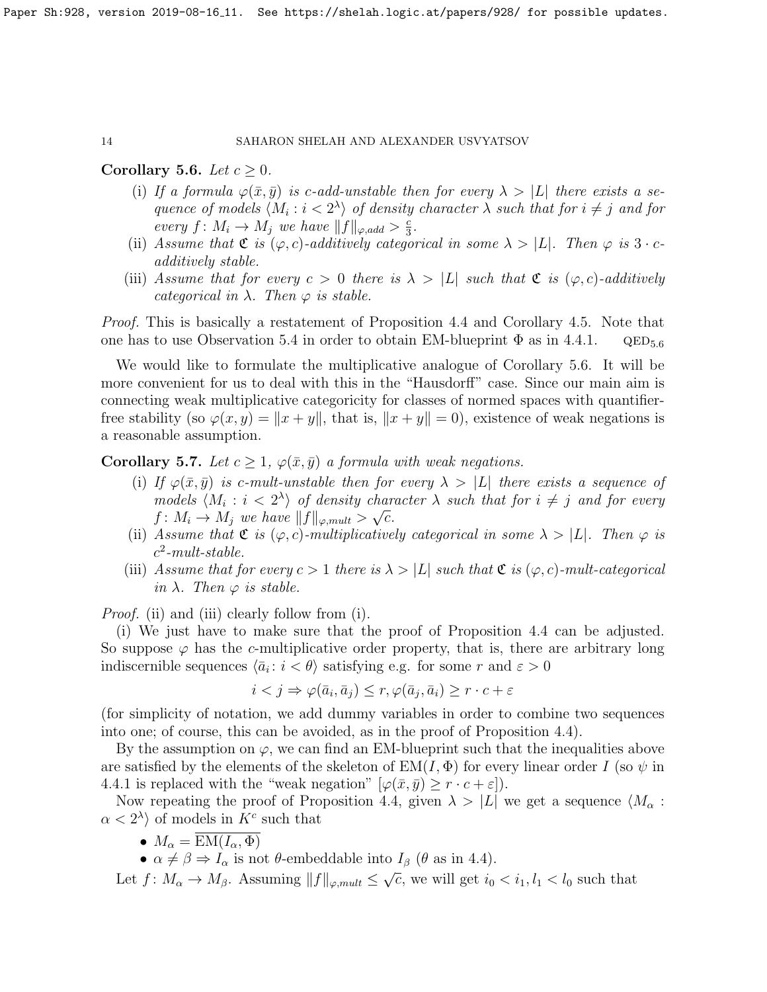## <span id="page-13-0"></span>Corollary 5.6. Let  $c \geq 0$ .

- (i) If a formula  $\varphi(\bar{x}, \bar{y})$  is c-add-unstable then for every  $\lambda > |L|$  there exists a sequence of models  $\langle M_i : i < 2^{\lambda} \rangle$  of density character  $\lambda$  such that for  $i \neq j$  and for every  $f: M_i \to M_j$  we have  $||f||_{\varphi, add} > \frac{c}{3}$  $\frac{c}{3}$ .
- (ii) Assume that  $\mathfrak{C}$  is  $(\varphi, c)$ -additively categorical in some  $\lambda > |L|$ . Then  $\varphi$  is  $3 \cdot c$ additively stable.
- (iii) Assume that for every  $c > 0$  there is  $\lambda > |L|$  such that  $\mathfrak{C}$  is  $(\varphi, c)$ -additively categorical in  $\lambda$ . Then  $\varphi$  is stable.

*Proof.* This is basically a restatement of Proposition [4.4](#page-10-1) and Corollary [4.5.](#page-0-0) Note that one has to use Observation [5.4](#page-0-0) in order to obtain EM-blueprint  $\Phi$  as in [4.4.1.](#page-10-0)  $QED_{5.6}$ 

We would like to formulate the multiplicative analogue of Corollary [5.6.](#page-13-0) It will be more convenient for us to deal with this in the "Hausdorff" case. Since our main aim is connecting weak multiplicative categoricity for classes of normed spaces with quantifierfree stability (so  $\varphi(x, y) = ||x + y||$ , that is,  $||x + y|| = 0$ ), existence of weak negations is a reasonable assumption.

<span id="page-13-1"></span>Corollary 5.7. Let  $c \geq 1$ ,  $\varphi(\bar{x}, \bar{y})$  a formula with weak negations.

- (i) If  $\varphi(\bar{x}, \bar{y})$  is c-mult-unstable then for every  $\lambda > |L|$  there exists a sequence of models  $\langle M_i : i < 2^{\lambda} \rangle$  of density character  $\lambda$  such that for  $i \neq j$  and for every  $f\colon M_i\to M_j$  we have  $||f||_{\varphi, mult} > \sqrt{c}$ .
- (ii) Assume that  $\mathfrak{C}$  is  $(\varphi, c)$ -multiplicatively categorical in some  $\lambda > |L|$ . Then  $\varphi$  is  $c^2$ -mult-stable.
- (iii) Assume that for every  $c > 1$  there is  $\lambda > |L|$  such that  $\mathfrak{C}$  is  $(\varphi, c)$ -mult-categorical in  $\lambda$ . Then  $\varphi$  is stable.

Proof. (ii) and (iii) clearly follow from (i).

(i) We just have to make sure that the proof of Proposition [4.4](#page-10-1) can be adjusted. So suppose  $\varphi$  has the c-multiplicative order property, that is, there are arbitrary long indiscernible sequences  $\langle \bar{a}_i : i < \theta \rangle$  satisfying e.g. for some r and  $\varepsilon > 0$ 

$$
i < j \Rightarrow \varphi(\bar{a}_i, \bar{a}_j) \le r, \varphi(\bar{a}_j, \bar{a}_i) \ge r \cdot c + \varepsilon
$$

(for simplicity of notation, we add dummy variables in order to combine two sequences into one; of course, this can be avoided, as in the proof of Proposition [4.4\)](#page-10-1).

By the assumption on  $\varphi$ , we can find an EM-blueprint such that the inequalities above are satisfied by the elements of the skeleton of  $EM(I, \Phi)$  for every linear order I (so  $\psi$  in [4.4.1](#page-10-0) is replaced with the "weak negation"  $[\varphi(\bar{x}, \bar{y}) \geq r \cdot c + \varepsilon]$ .

Now repeating the proof of Proposition [4.4,](#page-10-1) given  $\lambda > |L|$  we get a sequence  $\langle M_{\alpha} :$  $\alpha < 2^{\lambda}$  of models in  $K^c$  such that

- $M_{\alpha} = \overline{\mathrm{EM}(I_{\alpha}, \Phi)}$
- $\alpha \neq \beta \Rightarrow I_{\alpha}$  is not  $\theta$ -embeddable into  $I_{\beta}$  ( $\theta$  as in [4.4\)](#page-10-1). √

Let  $f: M_{\alpha} \to M_{\beta}$ . Assuming  $||f||_{\varphi, mult} \leq$  $\overline{c}$ , we will get  $i_0 < i_1, l_1 < l_0$  such that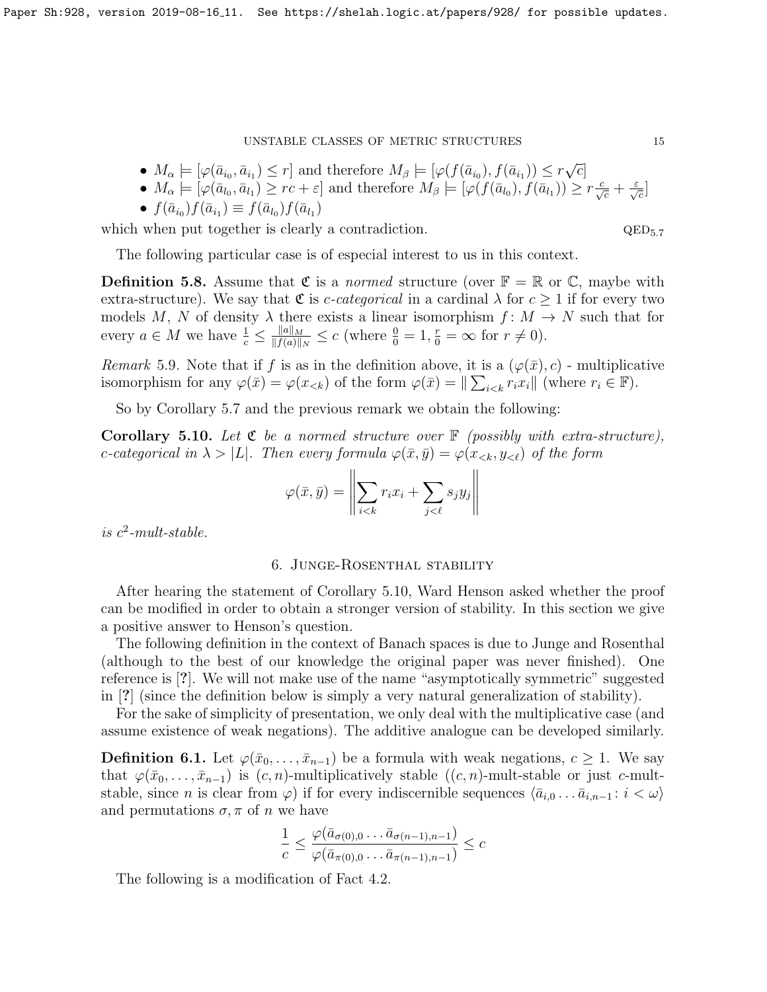- $M_{\alpha} \models [\varphi(\bar{a}_{i_0}, \bar{a}_{i_1}) \leq r]$  and therefore  $M_{\beta} \models [\varphi(f(\bar{a}_{i_0}), f(\bar{a}_{i_1})) \leq r]$ √  $\overline{c}$ ]
- $M_{\alpha} \models [\varphi(\bar{a}_{l_0}, \bar{a}_{l_1}) \geq rc + \varepsilon]$  and therefore  $M_{\beta} \models [\varphi(f(\bar{a}_{l_0}), f(\bar{a}_{l_1})) \geq r \frac{c}{\sqrt{c}} + \frac{\varepsilon}{\sqrt{c}}]$

$$
\bullet \ f(\bar{a}_{i_0})f(\bar{a}_{i_1}) \equiv f(\bar{a}_{l_0})f(\bar{a}_{l_1})
$$

which when put together is clearly a contradiction.  $QED_{5.7}$ 

The following particular case is of especial interest to us in this context.

**Definition 5.8.** Assume that  $\mathfrak{C}$  is a *normed* structure (over  $\mathbb{F} = \mathbb{R}$  or  $\mathbb{C}$ , maybe with extra-structure). We say that  $\mathfrak C$  is *c*-categorical in a cardinal  $\lambda$  for  $c \geq 1$  if for every two models M, N of density  $\lambda$  there exists a linear isomorphism  $f: M \to N$  such that for every  $a \in M$  we have  $\frac{1}{c} \leq \frac{\|a\|_M}{\|f(a)\|}$  $\frac{\|a\|_M}{\|f(a)\|_N} \leq c$  (where  $\frac{0}{0} = 1, \frac{r}{0} = \infty$  for  $r \neq 0$ ).

Remark 5.9. Note that if f is as in the definition above, it is a  $(\varphi(\bar{x}), c)$  - multiplicative isomorphism for any  $\varphi(\bar{x}) = \varphi(x_{< k})$  of the form  $\varphi(\bar{x}) = ||\sum_{i < k} r_i x_i||$  (where  $r_i \in \mathbb{F}$ ).

So by Corollary [5.7](#page-13-1) and the previous remark we obtain the following:

<span id="page-14-0"></span>**Corollary 5.10.** Let  $\mathfrak{C}$  be a normed structure over  $\mathbb{F}$  (possibly with extra-structure), c-categorical in  $\lambda > |L|$ . Then every formula  $\varphi(\bar{x}, \bar{y}) = \varphi(x_{< k}, y_{< \ell})$  of the form

$$
\varphi(\bar{x}, \bar{y}) = \left\| \sum_{i < k} r_i x_i + \sum_{j < \ell} s_j y_j \right\|
$$

is  $c^2$ -mult-stable.

## 6. Junge-Rosenthal stability

After hearing the statement of Corollary [5.10,](#page-14-0) Ward Henson asked whether the proof can be modified in order to obtain a stronger version of stability. In this section we give a positive answer to Henson's question.

The following definition in the context of Banach spaces is due to Junge and Rosenthal (although to the best of our knowledge the original paper was never finished). One reference is [?]. We will not make use of the name "asymptotically symmetric" suggested in [?] (since the definition below is simply a very natural generalization of stability).

For the sake of simplicity of presentation, we only deal with the multiplicative case (and assume existence of weak negations). The additive analogue can be developed similarly.

**Definition 6.1.** Let  $\varphi(\bar{x}_0, \ldots, \bar{x}_{n-1})$  be a formula with weak negations,  $c \geq 1$ . We say that  $\varphi(\bar{x}_0,\ldots,\bar{x}_{n-1})$  is  $(c, n)$ -multiplicatively stable  $((c, n)$ -mult-stable or just c-multstable, since n is clear from  $\varphi$ ) if for every indiscernible sequences  $\langle \bar{a}_{i,0} \dots \bar{a}_{i,n-1} : i < \omega \rangle$ and permutations  $\sigma, \pi$  of n we have

$$
\frac{1}{c} \le \frac{\varphi(\bar{a}_{\sigma(0),0} \dots \bar{a}_{\sigma(n-1),n-1})}{\varphi(\bar{a}_{\pi(0),0} \dots \bar{a}_{\pi(n-1),n-1})} \le c
$$

The following is a modification of Fact [4.2.](#page-9-0)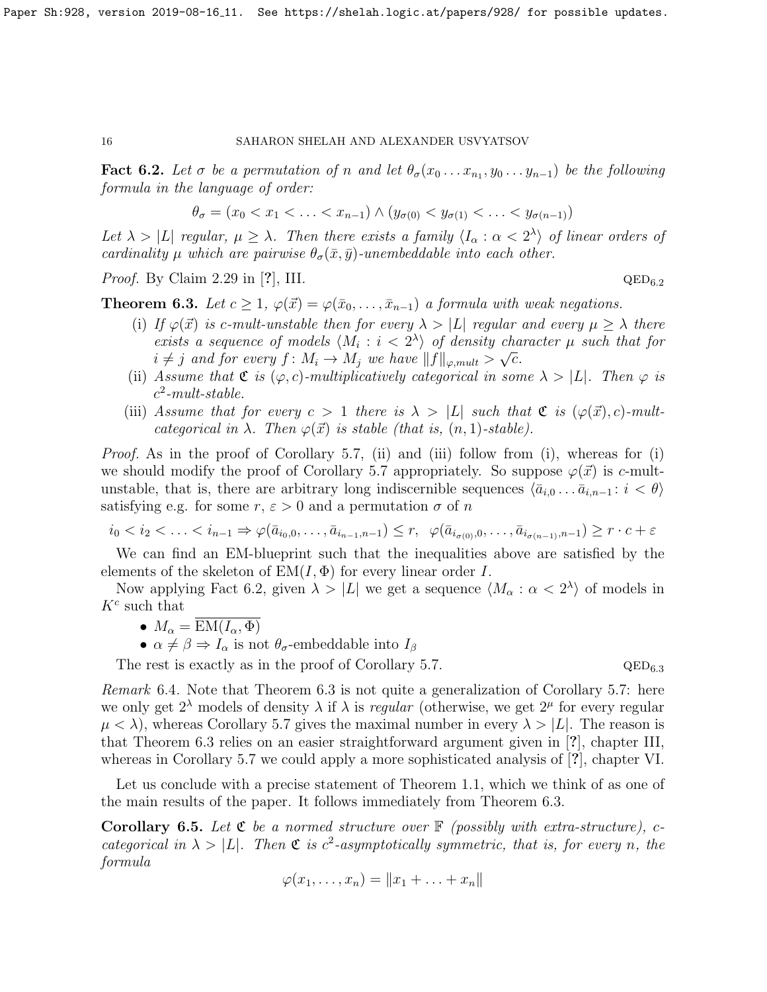<span id="page-15-0"></span>**Fact 6.2.** Let  $\sigma$  be a permutation of n and let  $\theta_{\sigma}(x_0 \ldots x_{n_1}, y_0 \ldots y_{n-1})$  be the following formula in the language of order:

$$
\theta_{\sigma} = (x_0 < x_1 < \ldots < x_{n-1}) \land (y_{\sigma(0)} < y_{\sigma(1)} < \ldots < y_{\sigma(n-1)})
$$

Let  $\lambda > |L|$  regular,  $\mu \geq \lambda$ . Then there exists a family  $\langle I_\alpha : \alpha < 2^{\lambda} \rangle$  of linear orders of cardinality  $\mu$  which are pairwise  $\theta_{\sigma}(\bar{x}, \bar{y})$ -unembeddable into each other.

*Proof.* By Claim 2.29 in [?], III.  $QED_{6.2}$ 

<span id="page-15-1"></span>**Theorem 6.3.** Let  $c \geq 1$ ,  $\varphi(\vec{x}) = \varphi(\bar{x}_0, \ldots, \bar{x}_{n-1})$  a formula with weak negations.

- (i) If  $\varphi(\vec{x})$  is c-mult-unstable then for every  $\lambda > |L|$  regular and every  $\mu \geq \lambda$  there exists a sequence of models  $\langle M_i : i < 2^{\lambda} \rangle$  of density character  $\mu$  such that for  $i \neq j$  and for every  $f \colon M_i \to M_j$  we have  $||f||_{\varphi, mult} > \sqrt{c}$ .
- (ii) Assume that  $\mathfrak{C}$  is  $(\varphi, c)$ -multiplicatively categorical in some  $\lambda > |L|$ . Then  $\varphi$  is  $c^2$ -mult-stable.
- (iii) Assume that for every  $c > 1$  there is  $\lambda > |L|$  such that  $\mathfrak{C}$  is  $(\varphi(\vec{x}), c)$ -multcategorical in  $\lambda$ . Then  $\varphi(\vec{x})$  is stable (that is,  $(n, 1)$ -stable).

Proof. As in the proof of Corollary [5.7,](#page-13-1) (ii) and (iii) follow from (i), whereas for (i) we should modify the proof of Corollary [5.7](#page-13-1) appropriately. So suppose  $\varphi(\vec{x})$  is c-multunstable, that is, there are arbitrary long indiscernible sequences  $\langle \bar{a}_{i,0} \dots \bar{a}_{i,n-1} : i < \theta \rangle$ satisfying e.g. for some  $r, \varepsilon > 0$  and a permutation  $\sigma$  of n

$$
i_0 < i_2 < \ldots < i_{n-1} \Rightarrow \varphi(\bar{a}_{i_0,0},\ldots,\bar{a}_{i_{n-1},n-1}) \le r, \quad \varphi(\bar{a}_{i_{\sigma(0)},0},\ldots,\bar{a}_{i_{\sigma(n-1)},n-1}) \ge r \cdot c + \varepsilon
$$

We can find an EM-blueprint such that the inequalities above are satisfied by the elements of the skeleton of  $EM(I, \Phi)$  for every linear order I.

Now applying Fact [6.2,](#page-15-0) given  $\lambda > |L|$  we get a sequence  $\langle M_{\alpha} : \alpha < 2^{\lambda} \rangle$  of models in  $K^c$  such that

- $M_{\alpha} = EM(I_{\alpha}, \Phi)$
- $\alpha \neq \beta \Rightarrow I_{\alpha}$  is not  $\theta_{\sigma}$ -embeddable into  $I_{\beta}$

The rest is exactly as in the proof of Corollary [5.7.](#page-13-1)  $QED_{6.3}$ 

Remark 6.4. Note that Theorem [6.3](#page-15-1) is not quite a generalization of Corollary [5.7:](#page-13-1) here we only get  $2^{\lambda}$  models of density  $\lambda$  if  $\lambda$  is *regular* (otherwise, we get  $2^{\mu}$  for every regular  $\mu < \lambda$ ), whereas Corollary [5.7](#page-13-1) gives the maximal number in every  $\lambda > |L|$ . The reason is that Theorem [6.3](#page-15-1) relies on an easier straightforward argument given in [?], chapter III, whereas in Corollary [5.7](#page-13-1) we could apply a more sophisticated analysis of [?], chapter VI.

Let us conclude with a precise statement of Theorem [1.1,](#page-4-0) which we think of as one of the main results of the paper. It follows immediately from Theorem [6.3.](#page-15-1)

**Corollary 6.5.** Let  $\mathfrak{C}$  be a normed structure over  $\mathbb{F}$  (possibly with extra-structure), ccategorical in  $\lambda > |L|$ . Then  $\mathfrak{C}$  is c<sup>2</sup>-asymptotically symmetric, that is, for every n, the formula

$$
\varphi(x_1,\ldots,x_n)=\|x_1+\ldots+x_n\|
$$